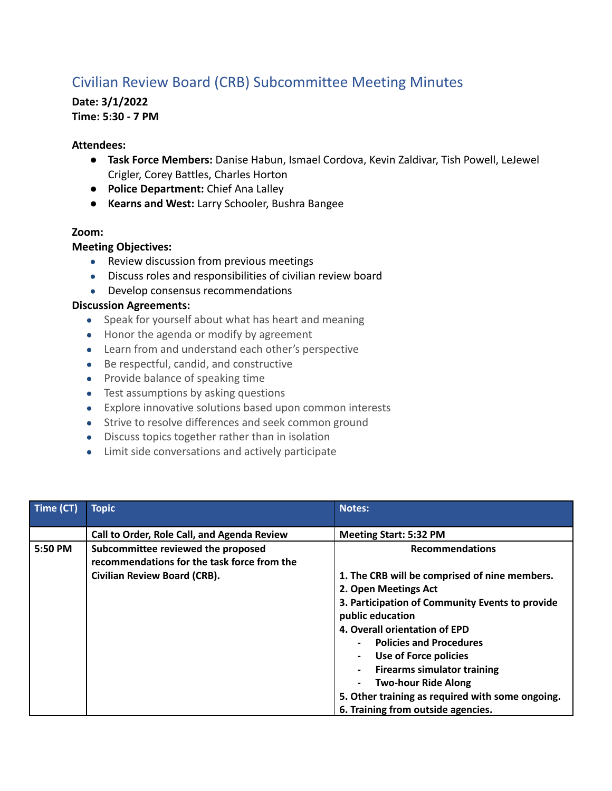# Civilian Review Board (CRB) Subcommittee Meeting Minutes

## **Date: 3/1/2022 Time: 5:30 - 7 PM**

#### **Attendees:**

- **Task Force Members:** Danise Habun, Ismael Cordova, Kevin Zaldivar, Tish Powell, LeJewel Crigler, Corey Battles, Charles Horton
- **Police Department:** Chief Ana Lalley
- **Kearns and West:** Larry Schooler, Bushra Bangee

#### **Zoom:**

#### **Meeting Objectives:**

- Review discussion from previous meetings
- Discuss roles and responsibilities of civilian review board
- Develop consensus recommendations

### **Discussion Agreements:**

- Speak for yourself about what has heart and meaning
- Honor the agenda or modify by agreement
- Learn from and understand each other's perspective
- Be respectful, candid, and constructive
- Provide balance of speaking time
- Test assumptions by asking questions
- Explore innovative solutions based upon common interests
- Strive to resolve differences and seek common ground
- Discuss topics together rather than in isolation
- Limit side conversations and actively participate

| Time (CT) | <b>Topic</b>                                                                      | <b>Notes:</b>                                                                                                                                                                                                                                                                                                                                                                                                                      |
|-----------|-----------------------------------------------------------------------------------|------------------------------------------------------------------------------------------------------------------------------------------------------------------------------------------------------------------------------------------------------------------------------------------------------------------------------------------------------------------------------------------------------------------------------------|
|           | Call to Order, Role Call, and Agenda Review                                       | <b>Meeting Start: 5:32 PM</b>                                                                                                                                                                                                                                                                                                                                                                                                      |
| 5:50 PM   | Subcommittee reviewed the proposed<br>recommendations for the task force from the | <b>Recommendations</b>                                                                                                                                                                                                                                                                                                                                                                                                             |
|           | Civilian Review Board (CRB).                                                      | 1. The CRB will be comprised of nine members.<br>2. Open Meetings Act<br>3. Participation of Community Events to provide<br>public education<br>4. Overall orientation of EPD<br><b>Policies and Procedures</b><br>Use of Force policies<br>$\overline{\phantom{a}}$<br><b>Firearms simulator training</b><br><b>Two-hour Ride Along</b><br>5. Other training as required with some ongoing.<br>6. Training from outside agencies. |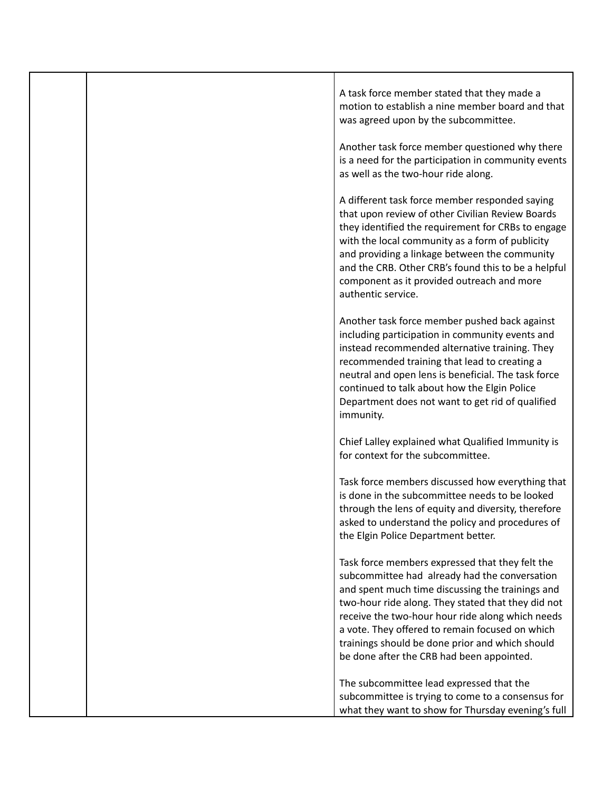|  | A task force member stated that they made a<br>motion to establish a nine member board and that<br>was agreed upon by the subcommittee.<br>Another task force member questioned why there<br>is a need for the participation in community events<br>as well as the two-hour ride along.                                                                                                                           |
|--|-------------------------------------------------------------------------------------------------------------------------------------------------------------------------------------------------------------------------------------------------------------------------------------------------------------------------------------------------------------------------------------------------------------------|
|  | A different task force member responded saying<br>that upon review of other Civilian Review Boards<br>they identified the requirement for CRBs to engage<br>with the local community as a form of publicity<br>and providing a linkage between the community<br>and the CRB. Other CRB's found this to be a helpful<br>component as it provided outreach and more<br>authentic service.                           |
|  | Another task force member pushed back against<br>including participation in community events and<br>instead recommended alternative training. They<br>recommended training that lead to creating a<br>neutral and open lens is beneficial. The task force<br>continued to talk about how the Elgin Police<br>Department does not want to get rid of qualified<br>immunity.                                        |
|  | Chief Lalley explained what Qualified Immunity is<br>for context for the subcommittee.                                                                                                                                                                                                                                                                                                                            |
|  | Task force members discussed how everything that<br>is done in the subcommittee needs to be looked<br>through the lens of equity and diversity, therefore<br>asked to understand the policy and procedures of<br>the Elgin Police Department better.                                                                                                                                                              |
|  | Task force members expressed that they felt the<br>subcommittee had already had the conversation<br>and spent much time discussing the trainings and<br>two-hour ride along. They stated that they did not<br>receive the two-hour hour ride along which needs<br>a vote. They offered to remain focused on which<br>trainings should be done prior and which should<br>be done after the CRB had been appointed. |
|  | The subcommittee lead expressed that the<br>subcommittee is trying to come to a consensus for<br>what they want to show for Thursday evening's full                                                                                                                                                                                                                                                               |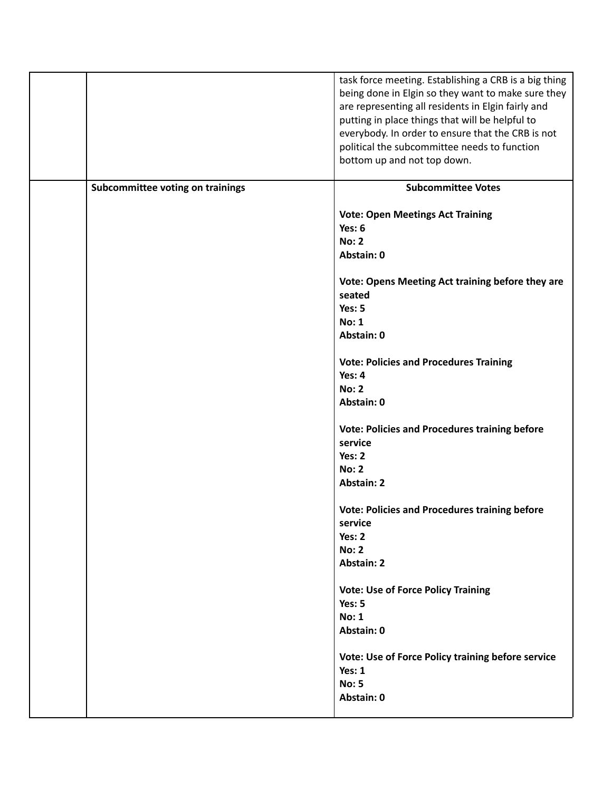|                                  | task force meeting. Establishing a CRB is a big thing |
|----------------------------------|-------------------------------------------------------|
|                                  | being done in Elgin so they want to make sure they    |
|                                  |                                                       |
|                                  | are representing all residents in Elgin fairly and    |
|                                  | putting in place things that will be helpful to       |
|                                  |                                                       |
|                                  | everybody. In order to ensure that the CRB is not     |
|                                  | political the subcommittee needs to function          |
|                                  |                                                       |
|                                  | bottom up and not top down.                           |
|                                  |                                                       |
| Subcommittee voting on trainings | <b>Subcommittee Votes</b>                             |
|                                  |                                                       |
|                                  |                                                       |
|                                  | <b>Vote: Open Meetings Act Training</b>               |
|                                  | Yes: 6                                                |
|                                  | <b>No: 2</b>                                          |
|                                  |                                                       |
|                                  | Abstain: 0                                            |
|                                  |                                                       |
|                                  | Vote: Opens Meeting Act training before they are      |
|                                  | seated                                                |
|                                  |                                                       |
|                                  | Yes: 5                                                |
|                                  | <b>No: 1</b>                                          |
|                                  |                                                       |
|                                  | Abstain: 0                                            |
|                                  |                                                       |
|                                  | <b>Vote: Policies and Procedures Training</b>         |
|                                  | Yes: 4                                                |
|                                  |                                                       |
|                                  | <b>No: 2</b>                                          |
|                                  | Abstain: 0                                            |
|                                  |                                                       |
|                                  |                                                       |
|                                  | <b>Vote: Policies and Procedures training before</b>  |
|                                  | service                                               |
|                                  | Yes: 2                                                |
|                                  |                                                       |
|                                  | <b>No: 2</b>                                          |
|                                  | <b>Abstain: 2</b>                                     |
|                                  |                                                       |
|                                  | <b>Vote: Policies and Procedures training before</b>  |
|                                  |                                                       |
|                                  | service                                               |
|                                  | Yes: 2                                                |
|                                  | <b>No: 2</b>                                          |
|                                  |                                                       |
|                                  | <b>Abstain: 2</b>                                     |
|                                  |                                                       |
|                                  | <b>Vote: Use of Force Policy Training</b>             |
|                                  | Yes: 5                                                |
|                                  |                                                       |
|                                  | <b>No: 1</b>                                          |
|                                  | Abstain: 0                                            |
|                                  |                                                       |
|                                  | Vote: Use of Force Policy training before service     |
|                                  |                                                       |
|                                  | Yes: 1                                                |
|                                  | <b>No: 5</b>                                          |
|                                  |                                                       |
|                                  | Abstain: 0                                            |
|                                  |                                                       |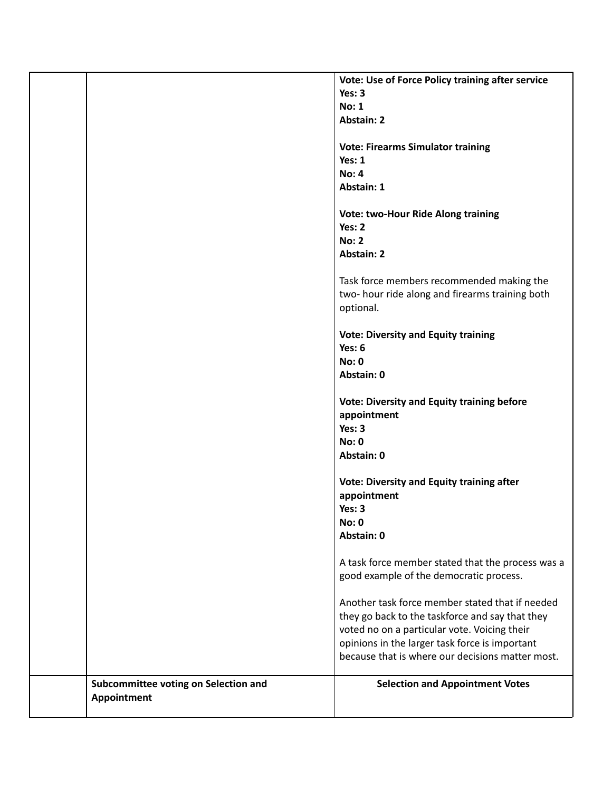|                                      | Vote: Use of Force Policy training after service  |
|--------------------------------------|---------------------------------------------------|
|                                      | Yes: 3                                            |
|                                      | <b>No: 1</b>                                      |
|                                      | <b>Abstain: 2</b>                                 |
|                                      |                                                   |
|                                      | <b>Vote: Firearms Simulator training</b>          |
|                                      | Yes: 1                                            |
|                                      | <b>No: 4</b>                                      |
|                                      | Abstain: 1                                        |
|                                      |                                                   |
|                                      | <b>Vote: two-Hour Ride Along training</b>         |
|                                      | Yes: 2                                            |
|                                      |                                                   |
|                                      | <b>No: 2</b>                                      |
|                                      | <b>Abstain: 2</b>                                 |
|                                      |                                                   |
|                                      | Task force members recommended making the         |
|                                      | two-hour ride along and firearms training both    |
|                                      | optional.                                         |
|                                      |                                                   |
|                                      | <b>Vote: Diversity and Equity training</b>        |
|                                      | Yes: 6                                            |
|                                      | <b>No: 0</b>                                      |
|                                      | Abstain: 0                                        |
|                                      | <b>Vote: Diversity and Equity training before</b> |
|                                      |                                                   |
|                                      | appointment<br>Yes: 3                             |
|                                      |                                                   |
|                                      | No: 0                                             |
|                                      | Abstain: 0                                        |
|                                      | <b>Vote: Diversity and Equity training after</b>  |
|                                      |                                                   |
|                                      | appointment                                       |
|                                      | Yes: 3                                            |
|                                      | <b>No: 0</b>                                      |
|                                      | Abstain: 0                                        |
|                                      |                                                   |
|                                      | A task force member stated that the process was a |
|                                      | good example of the democratic process.           |
|                                      | Another task force member stated that if needed   |
|                                      |                                                   |
|                                      | they go back to the taskforce and say that they   |
|                                      | voted no on a particular vote. Voicing their      |
|                                      | opinions in the larger task force is important    |
|                                      | because that is where our decisions matter most.  |
|                                      |                                                   |
| Subcommittee voting on Selection and | <b>Selection and Appointment Votes</b>            |
| Appointment                          |                                                   |
|                                      |                                                   |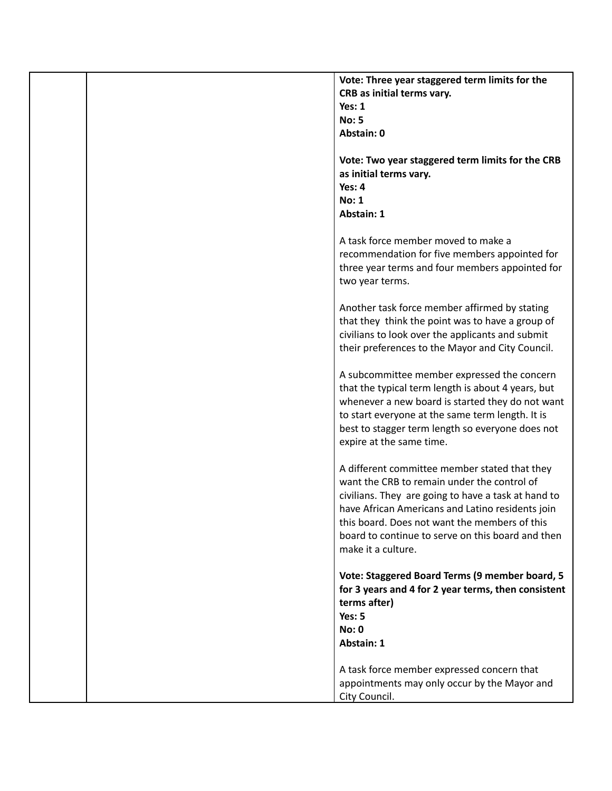| Vote: Three year staggered term limits for the      |
|-----------------------------------------------------|
| CRB as initial terms vary.                          |
| Yes: $1$                                            |
| <b>No: 5</b>                                        |
| Abstain: 0                                          |
| Vote: Two year staggered term limits for the CRB    |
| as initial terms vary.                              |
| Yes: 4                                              |
|                                                     |
| <b>No: 1</b>                                        |
| <b>Abstain: 1</b>                                   |
| A task force member moved to make a                 |
| recommendation for five members appointed for       |
| three year terms and four members appointed for     |
| two year terms.                                     |
| Another task force member affirmed by stating       |
| that they think the point was to have a group of    |
| civilians to look over the applicants and submit    |
| their preferences to the Mayor and City Council.    |
|                                                     |
| A subcommittee member expressed the concern         |
| that the typical term length is about 4 years, but  |
| whenever a new board is started they do not want    |
| to start everyone at the same term length. It is    |
| best to stagger term length so everyone does not    |
| expire at the same time.                            |
|                                                     |
| A different committee member stated that they       |
| want the CRB to remain under the control of         |
| civilians. They are going to have a task at hand to |
| have African Americans and Latino residents join    |
| this board. Does not want the members of this       |
| board to continue to serve on this board and then   |
| make it a culture.                                  |
|                                                     |
| Vote: Staggered Board Terms (9 member board, 5      |
| for 3 years and 4 for 2 year terms, then consistent |
| terms after)                                        |
| Yes: 5                                              |
| No: 0                                               |
| Abstain: 1                                          |
|                                                     |
| A task force member expressed concern that          |
| appointments may only occur by the Mayor and        |
| City Council.                                       |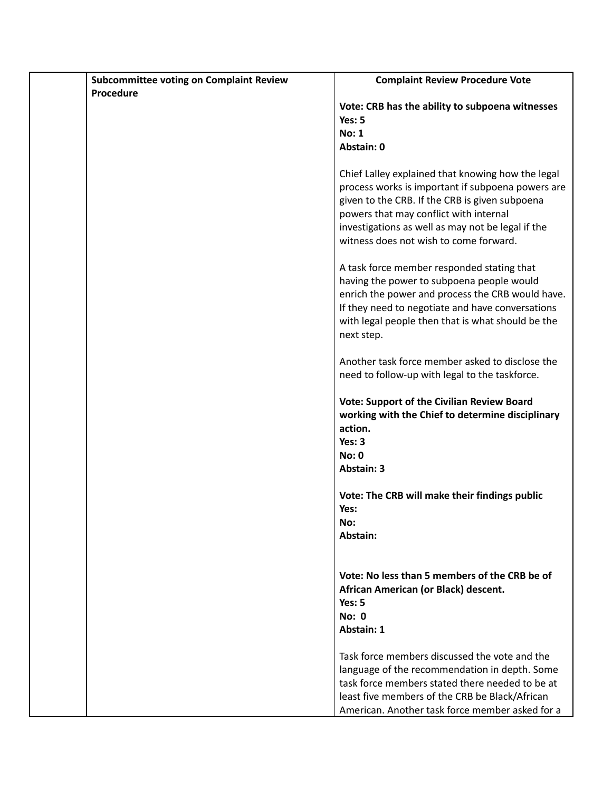| <b>Subcommittee voting on Complaint Review</b> | <b>Complaint Review Procedure Vote</b>                                                                |
|------------------------------------------------|-------------------------------------------------------------------------------------------------------|
| Procedure                                      |                                                                                                       |
|                                                | Vote: CRB has the ability to subpoena witnesses                                                       |
|                                                | Yes: 5                                                                                                |
|                                                | No: 1                                                                                                 |
|                                                | Abstain: 0                                                                                            |
|                                                | Chief Lalley explained that knowing how the legal                                                     |
|                                                | process works is important if subpoena powers are                                                     |
|                                                | given to the CRB. If the CRB is given subpoena                                                        |
|                                                | powers that may conflict with internal<br>investigations as well as may not be legal if the           |
|                                                | witness does not wish to come forward.                                                                |
|                                                |                                                                                                       |
|                                                | A task force member responded stating that                                                            |
|                                                | having the power to subpoena people would                                                             |
|                                                | enrich the power and process the CRB would have.                                                      |
|                                                | If they need to negotiate and have conversations<br>with legal people then that is what should be the |
|                                                | next step.                                                                                            |
|                                                |                                                                                                       |
|                                                | Another task force member asked to disclose the                                                       |
|                                                | need to follow-up with legal to the taskforce.                                                        |
|                                                | <b>Vote: Support of the Civilian Review Board</b>                                                     |
|                                                | working with the Chief to determine disciplinary                                                      |
|                                                | action.                                                                                               |
|                                                | Yes: 3                                                                                                |
|                                                | No: 0                                                                                                 |
|                                                | <b>Abstain: 3</b>                                                                                     |
|                                                | Vote: The CRB will make their findings public                                                         |
|                                                | Yes:                                                                                                  |
|                                                | No:                                                                                                   |
|                                                | Abstain:                                                                                              |
|                                                |                                                                                                       |
|                                                | Vote: No less than 5 members of the CRB be of                                                         |
|                                                | African American (or Black) descent.                                                                  |
|                                                | Yes: 5                                                                                                |
|                                                | <b>No: 0</b>                                                                                          |
|                                                | <b>Abstain: 1</b>                                                                                     |
|                                                | Task force members discussed the vote and the                                                         |
|                                                | language of the recommendation in depth. Some                                                         |
|                                                | task force members stated there needed to be at                                                       |
|                                                | least five members of the CRB be Black/African                                                        |
|                                                | American. Another task force member asked for a                                                       |